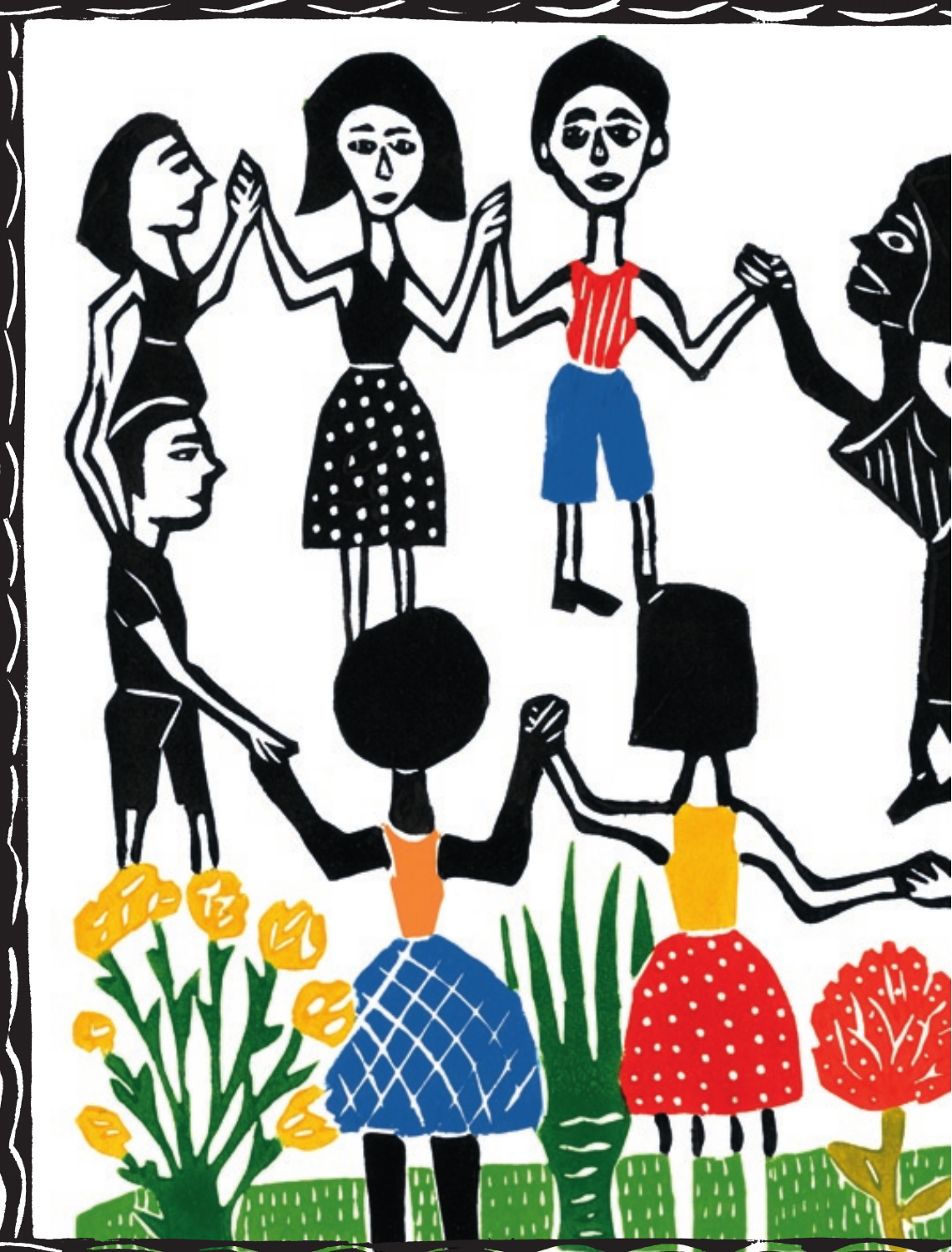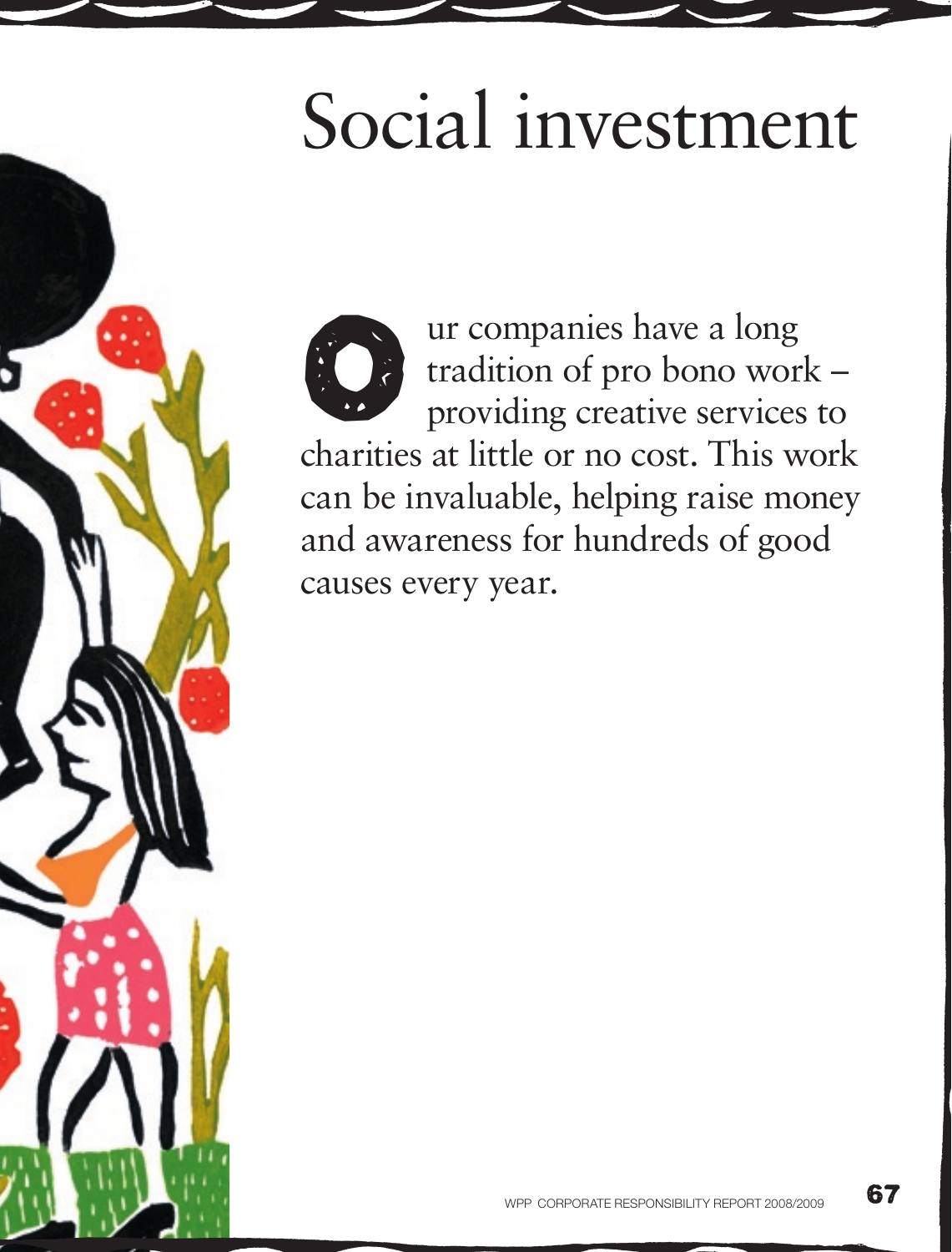# Social investment



ur companies have a long<br>tradition of pro bono worl tradition of pro bono work – providing creative services to charities at little or no cost. This work

can be invaluable, helping raise money and awareness for hundreds of good causes every year.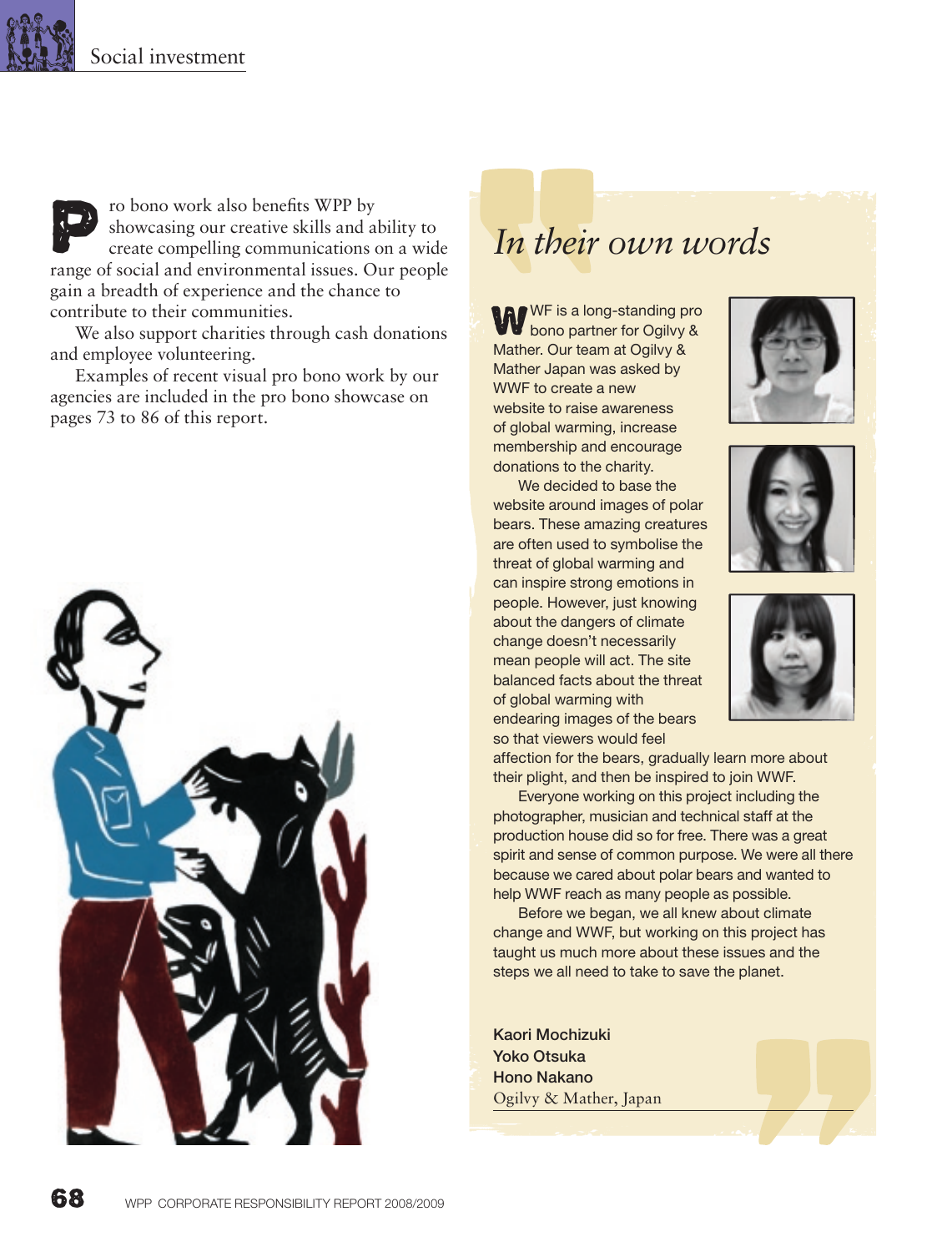

ro bono work also benefits WPP by showcasing our creative skills and ability to create compelling communications on a wide range of social and environmental issues. Our people gain a breadth of experience and the chance to contribute to their communities.

We also support charities through cash donations and employee volunteering.

Examples of recent visual pro bono work by our agencies are included in the pro bono showcase on pages 73 to 86 of this report.



# *In their own words*

**AF** WF is a long-standing pro bono partner for Ogilvy & Mather. Our team at Ogilvy & Mather Japan was asked by WWF to create a new website to raise awareness of global warming, increase membership and encourage donations to the charity.

We decided to base the website around images of polar bears. These amazing creatures are often used to symbolise the threat of global warming and can inspire strong emotions in people. However, just knowing about the dangers of climate change doesn't necessarily mean people will act. The site balanced facts about the threat of global warming with endearing images of the bears so that viewers would feel

affection for the bears, gradually learn more about their plight, and then be inspired to join WWF.

Everyone working on this project including the photographer, musician and technical staff at the production house did so for free. There was a great spirit and sense of common purpose. We were all there because we cared about polar bears and wanted to help WWF reach as many people as possible.

Before we began, we all knew about climate change and WWF, but working on this project has taught us much more about these issues and the steps we all need to take to save the planet.

Kaori Mochizuki Yoko Otsuka Hono Nakano Ogilvy & Mather, Japan





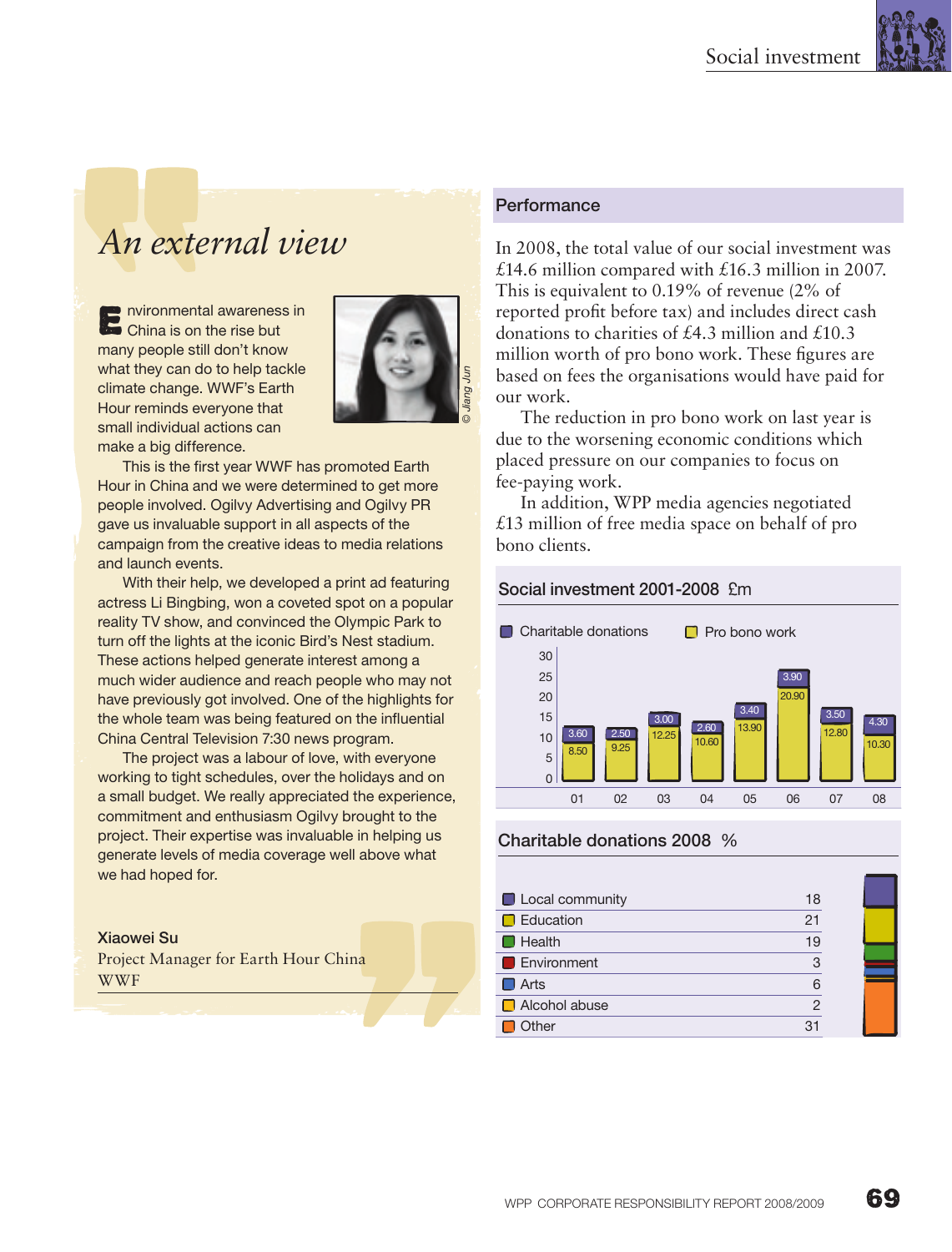

# *An external view*

nvironmental awareness in **China is on the rise but** many people still don't know what they can do to help tackle climate change. WWF's Earth Hour reminds everyone that small individual actions can make a big difference.



This is the first year WWF has promoted Earth Hour in China and we were determined to get more people involved. Ogilvy Advertising and Ogilvy PR gave us invaluable support in all aspects of the campaign from the creative ideas to media relations and launch events.

With their help, we developed a print ad featuring actress Li Bingbing, won a coveted spot on a popular reality TV show, and convinced the Olympic Park to turn off the lights at the iconic Bird's Nest stadium. These actions helped generate interest among a much wider audience and reach people who may not have previously got involved. One of the highlights for the whole team was being featured on the influential China Central Television 7:30 news program.

The project was a labour of love, with everyone working to tight schedules, over the holidays and on a small budget. We really appreciated the experience, commitment and enthusiasm Ogilvy brought to the project. Their expertise was invaluable in helping us generate levels of media coverage well above what we had hoped for.

# Xiaowei Su

Project Manager for Earth Hour China WWF

#### **Performance**

In 2008, the total value of our social investment was £14.6 million compared with £16.3 million in 2007. This is equivalent to 0.19% of revenue (2% of reported profit before tax) and includes direct cash donations to charities of £4.3 million and £10.3 million worth of pro bono work. These figures are based on fees the organisations would have paid for our work.

The reduction in pro bono work on last year is due to the worsening economic conditions which placed pressure on our companies to focus on fee-paying work.

In addition, WPP media agencies negotiated £13 million of free media space on behalf of pro bono clients.

# Social investment 2001-2008 £m



# Charitable donations 2008 %

| $\Box$ Local community<br>18 |  |
|------------------------------|--|
| Education<br>21              |  |
| $\Box$ Health<br>19          |  |
| Environment<br>3             |  |
| $\Box$ Arts<br>6             |  |
| Alcohol abuse<br>2           |  |
| Other                        |  |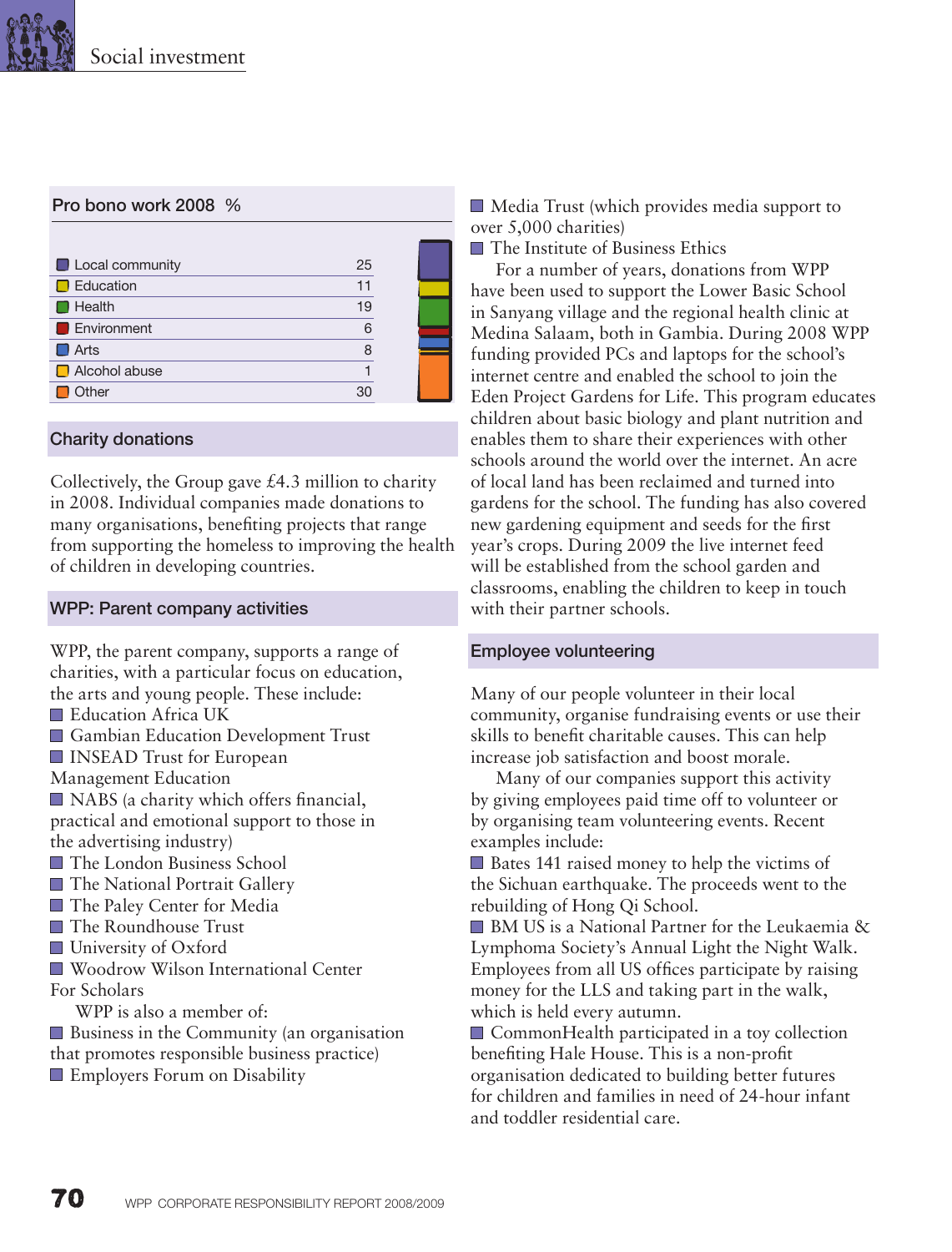# Pro bono work 2008 %

| $\Box$ Local community | 25 |  |
|------------------------|----|--|
| <b>Education</b>       | 11 |  |
| $\Box$ Health          | 19 |  |
| Environment            | Բ  |  |
| $\Box$ Arts            |    |  |
| $\Box$ Alcohol abuse   |    |  |
| Other                  | 30 |  |

# Charity donations

Collectively, the Group gave  $£4.3$  million to charity in 2008. Individual companies made donations to many organisations, benefiting projects that range from supporting the homeless to improving the health of children in developing countries.

# WPP: Parent company activities

WPP, the parent company, supports a range of charities, with a particular focus on education, the arts and young people. These include:

- Education Africa UK
- Gambian Education Development Trust
- INSEAD Trust for European
- Management Education

NABS (a charity which offers financial, practical and emotional support to those in the advertising industry)

- The London Business School
- The National Portrait Gallery
- The Paley Center for Media
- The Roundhouse Trust
- University of Oxford

Woodrow Wilson International Center For Scholars

WPP is also a member of:

 $\Box$  Business in the Community (an organisation that promotes responsible business practice) **Employers Forum on Disability** 

Media Trust (which provides media support to over 5,000 charities)

■ The Institute of Business Ethics

For a number of years, donations from WPP have been used to support the Lower Basic School in Sanyang village and the regional health clinic at Medina Salaam, both in Gambia. During 2008 WPP funding provided PCs and laptops for the school's internet centre and enabled the school to join the Eden Project Gardens for Life. This program educates children about basic biology and plant nutrition and enables them to share their experiences with other schools around the world over the internet. An acre of local land has been reclaimed and turned into gardens for the school. The funding has also covered new gardening equipment and seeds for the first year's crops. During 2009 the live internet feed will be established from the school garden and classrooms, enabling the children to keep in touch with their partner schools.

# Employee volunteering

Many of our people volunteer in their local community, organise fundraising events or use their skills to benefit charitable causes. This can help increase job satisfaction and boost morale.

Many of our companies support this activity by giving employees paid time off to volunteer or by organising team volunteering events. Recent examples include:

■ Bates 141 raised money to help the victims of the Sichuan earthquake. The proceeds went to the rebuilding of Hong Qi School.

BM US is a National Partner for the Leukaemia & Lymphoma Society's Annual Light the Night Walk. Employees from all US offices participate by raising money for the LLS and taking part in the walk, which is held every autumn.

■ CommonHealth participated in a toy collection benefiting Hale House. This is a non-profit organisation dedicated to building better futures for children and families in need of 24-hour infant and toddler residential care.